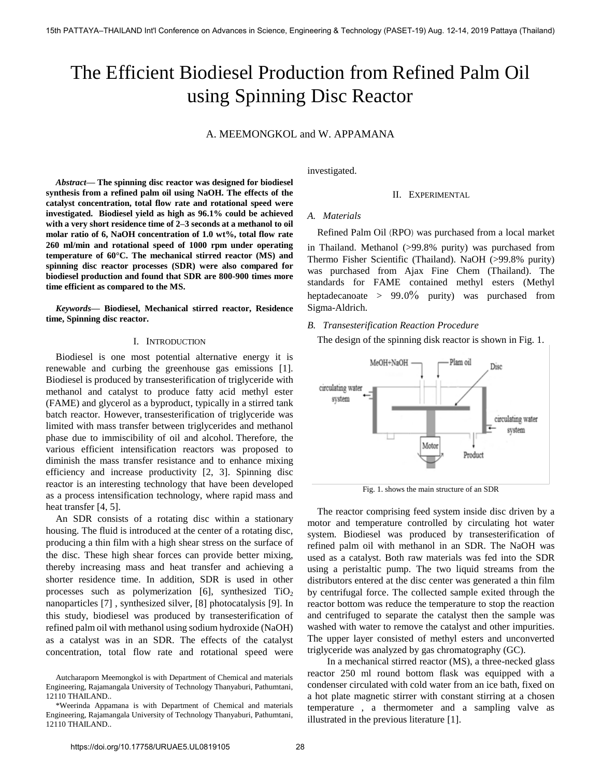# The Efficient Biodiesel Production from Refined Palm Oil using Spinning Disc Reactor

# A. MEEMONGKOL and W. APPAMANA

*Abstract***— The spinning disc reactor was designed for biodiesel synthesis from a refined palm oil using NaOH. The effects of the catalyst concentration, total flow rate and rotational speed were investigated. Biodiesel yield as high as 96.1% could be achieved with a very short residence time of 2–3 seconds at a methanol to oil molar ratio of 6, NaOH concentration of 1.0 wt%, total flow rate 260 ml/min and rotational speed of 1000 rpm under operating temperature of 60°C. The mechanical stirred reactor (MS) and spinning disc reactor processes (SDR) were also compared for biodiesel production and found that SDR are 800-900 times more time efficient as compared to the MS.** 

*Keywords***— Biodiesel, Mechanical stirred reactor, Residence time, Spinning disc reactor.** 

## I. INTRODUCTION

 Biodiesel is one most potential alternative energy it is renewable and curbing the greenhouse gas emissions [1]. Biodiesel is produced by transesterification of triglyceride with methanol and catalyst to produce fatty acid methyl ester (FAME) and glycerol as a byproduct, typically in a stirred tank batch reactor. However, transesterification of triglyceride was limited with mass transfer between triglycerides and methanol phase due to immiscibility of oil and alcohol. Therefore, the various efficient intensification reactors was proposed to diminish the mass transfer resistance and to enhance mixing efficiency and increase productivity [2, 3]. Spinning disc reactor is an interesting technology that have been developed as a process intensification technology, where rapid mass and heat transfer [4, 5].

An SDR consists of a rotating disc within a stationary housing. The fluid is introduced at the center of a rotating disc, producing a thin film with a high shear stress on the surface of the disc. These high shear forces can provide better mixing, thereby increasing mass and heat transfer and achieving a shorter residence time. In addition, SDR is used in other processes such as polymerization [6], synthesized  $TiO<sub>2</sub>$ nanoparticles [7] , synthesized silver, [8] photocatalysis [9]. In this study, biodiesel was produced by transesterification of refined palm oil with methanol using sodium hydroxide (NaOH) as a catalyst was in an SDR. The effects of the catalyst concentration, total flow rate and rotational speed were investigated.

## II. EXPERIMENTAL

# *A. Materials*

 Refined Palm Oil (RPO) was purchased from a local market in Thailand. Methanol (>99.8% purity) was purchased from Thermo Fisher Scientific (Thailand). NaOH (>99.8% purity) was purchased from Ajax Fine Chem (Thailand). The standards for FAME contained methyl esters (Methyl heptadecanoate >  $99.0\%$  purity) was purchased from Sigma-Aldrich.

# *B. Transesterification Reaction Procedure*

The design of the spinning disk reactor is shown in Fig. 1.



Fig. 1. shows the main structure of an SDR

The reactor comprising feed system inside disc driven by a motor and temperature controlled by circulating hot water system. Biodiesel was produced by transesterification of refined palm oil with methanol in an SDR. The NaOH was used as a catalyst. Both raw materials was fed into the SDR using a peristaltic pump. The two liquid streams from the distributors entered at the disc center was generated a thin film by centrifugal force. The collected sample exited through the reactor bottom was reduce the temperature to stop the reaction and centrifuged to separate the catalyst then the sample was washed with water to remove the catalyst and other impurities. The upper layer consisted of methyl esters and unconverted triglyceride was analyzed by gas chromatography (GC).

 In a mechanical stirred reactor (MS), a three-necked glass reactor 250 ml round bottom flask was equipped with a condenser circulated with cold water from an ice bath, fixed on a hot plate magnetic stirrer with constant stirring at a chosen temperature , a thermometer and a sampling valve as illustrated in the previous literature [1].

Autcharaporn Meemongkol is with Department of Chemical and materials Engineering, Rajamangala University of Technology Thanyaburi, Pathumtani, 12110 THAILAND..

<sup>\*</sup>Weerinda Appamana is with Department of Chemical and materials Engineering, Rajamangala University of Technology Thanyaburi, Pathumtani, 12110 THAILAND..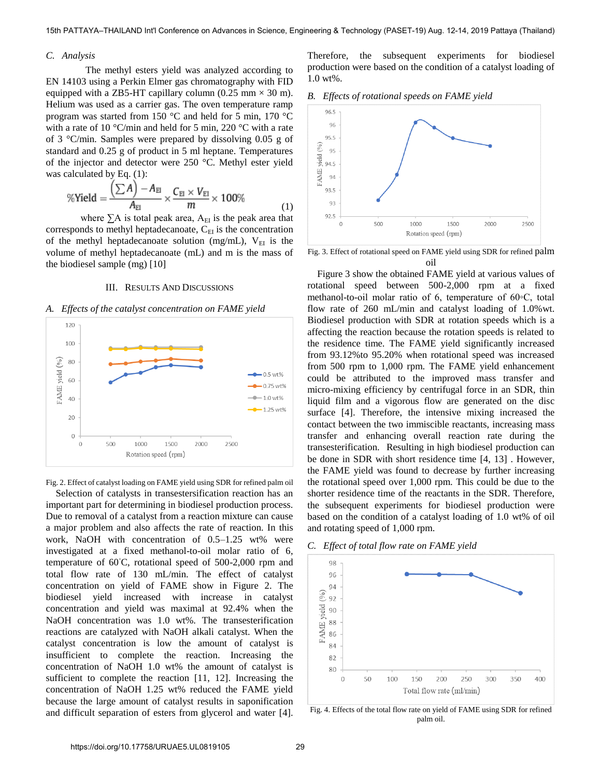# *C. Analysis*

 The methyl esters yield was analyzed according to EN 14103 using a Perkin Elmer gas chromatography with FID equipped with a ZB5-HT capillary column (0.25 mm  $\times$  30 m). Helium was used as a carrier gas. The oven temperature ramp program was started from 150 °C and held for 5 min, 170 °C with a rate of 10 °C/min and held for 5 min, 220 °C with a rate of 3 °C/min. Samples were prepared by dissolving 0.05 g of standard and 0.25 g of product in 5 ml heptane. Temperatures of the injector and detector were 250 °C. Methyl ester yield was calculated by Eq. (1):

$$
\% \text{Yield} = \frac{\left(\sum A\right) - A_{\text{EI}}}{A_{\text{EI}}} \times \frac{C_{\text{EI}} \times V_{\text{EI}}}{m} \times 100\% \tag{1}
$$

where  $\Sigma A$  is total peak area,  $A_{EI}$  is the peak area that corresponds to methyl heptadecanoate,  $C_{EI}$  is the concentration of the methyl heptadecanoate solution (mg/mL),  $V_{EI}$  is the volume of methyl heptadecanoate (mL) and m is the mass of the biodiesel sample (mg) [10]

#### III. RESULTS AND DISCUSSIONS

#### *A. Effects of the catalyst concentration on FAME yield*



Fig. 2. Effect of catalyst loading on FAME yield using SDR for refined palm oil

 Selection of catalysts in transestersification reaction has an important part for determining in biodiesel production process. Due to removal of a catalyst from a reaction mixture can cause a major problem and also affects the rate of reaction. In this work, NaOH with concentration of 0.5–1.25 wt% were investigated at a fixed methanol-to-oil molar ratio of 6, temperature of 60◦C, rotational speed of 500-2,000 rpm and total flow rate of 130 mL/min. The effect of catalyst concentration on yield of FAME show in Figure 2. The biodiesel yield increased with increase in catalyst concentration and yield was maximal at 92.4% when the NaOH concentration was 1.0 wt%. The transesterification reactions are catalyzed with NaOH alkali catalyst. When the catalyst concentration is low the amount of catalyst is insufficient to complete the reaction. Increasing the concentration of NaOH 1.0 wt% the amount of catalyst is sufficient to complete the reaction [11, 12]. Increasing the concentration of NaOH 1.25 wt% reduced the FAME yield because the large amount of catalyst results in saponification and difficult separation of esters from glycerol and water [4]. Therefore, the subsequent experiments for biodiesel production were based on the condition of a catalyst loading of 1.0 wt%.

## *B. Effects of rotational speeds on FAME yield*



Fig. 3. Effect of rotational speed on FAME yield using SDR for refined palm oil

 Figure 3 show the obtained FAME yield at various values of rotational speed between 500-2,000 rpm at a fixed methanol-to-oil molar ratio of 6, temperature of 60◦C, total flow rate of 260 mL/min and catalyst loading of 1.0%wt. Biodiesel production with SDR at rotation speeds which is a affecting the reaction because the rotation speeds is related to the residence time. The FAME yield significantly increased from 93.12%to 95.20% when rotational speed was increased from 500 rpm to 1,000 rpm. The FAME yield enhancement could be attributed to the improved mass transfer and micro-mixing efficiency by centrifugal force in an SDR, thin liquid film and a vigorous flow are generated on the disc surface [4]. Therefore, the intensive mixing increased the contact between the two immiscible reactants, increasing mass transfer and enhancing overall reaction rate during the transesterification. Resulting in high biodiesel production can be done in SDR with short residence time [4, 13] . However, the FAME yield was found to decrease by further increasing the rotational speed over 1,000 rpm. This could be due to the shorter residence time of the reactants in the SDR. Therefore, the subsequent experiments for biodiesel production were based on the condition of a catalyst loading of 1.0 wt% of oil and rotating speed of 1,000 rpm.

# *C. Effect of total flow rate on FAME yield*



Fig. 4. Effects of the total flow rate on yield of FAME using SDR for refined palm oil.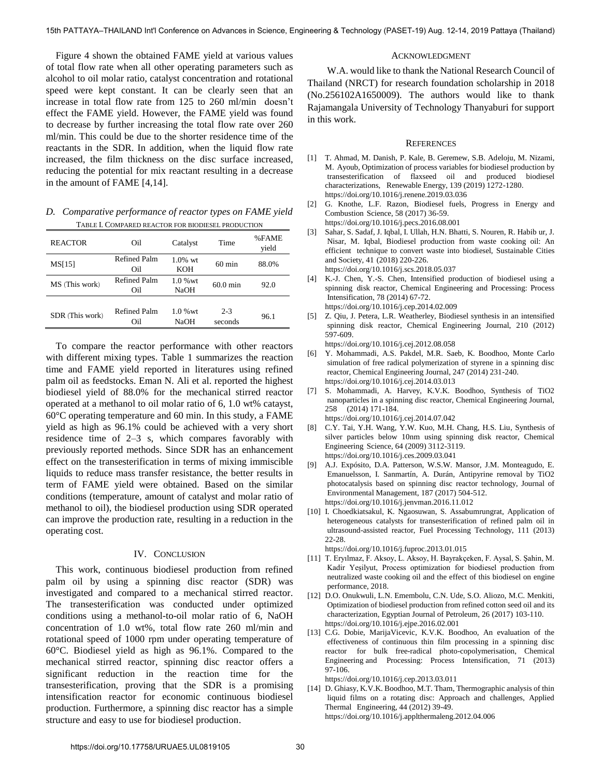Figure 4 shown the obtained FAME yield at various values of total flow rate when all other operating parameters such as alcohol to oil molar ratio, catalyst concentration and rotational speed were kept constant. It can be clearly seen that an increase in total flow rate from 125 to 260 ml/min doesn't effect the FAME yield. However, the FAME yield was found to decrease by further increasing the total flow rate over 260 ml/min. This could be due to the shorter residence time of the reactants in the SDR. In addition, when the liquid flow rate increased, the film thickness on the disc surface increased, reducing the potential for mix reactant resulting in a decrease in the amount of FAME [4,14].

*D. Comparative performance of reactor types on FAME yield*  TABLE I. COMPARED REACTOR FOR BIODIESEL PRODUCTION

| <b>REACTOR</b>  | Oil                 | Catalyst                 | Time               | %FAME<br>yield |
|-----------------|---------------------|--------------------------|--------------------|----------------|
| MS[15]          | Refined Palm<br>Oil | $1.0\%$ wt<br><b>KOH</b> | $60 \text{ min}$   | 88.0%          |
| MS (This work)  | Refined Palm<br>Oil | $1.0%$ wt<br>NaOH        | $60.0 \text{ min}$ | 92.0           |
| SDR (This work) | Refined Palm<br>Oil | $1.0%$ wt<br><b>NaOH</b> | $2 - 3$<br>seconds | 96.1           |

To compare the reactor performance with other reactors with different mixing types. Table 1 summarizes the reaction time and FAME yield reported in literatures using refined palm oil as feedstocks. Eman N. Ali et al. reported the highest biodiesel yield of 88.0% for the mechanical stirred reactor operated at a methanol to oil molar ratio of 6, 1.0 wt% catayst, 60°C operating temperature and 60 min. In this study, a FAME yield as high as 96.1% could be achieved with a very short residence time of 2–3 s, which compares favorably with previously reported methods. Since SDR has an enhancement effect on the transesterification in terms of mixing immiscible liquids to reduce mass transfer resistance, the better results in term of FAME yield were obtained. Based on the similar conditions (temperature, amount of catalyst and molar ratio of methanol to oil), the biodiesel production using SDR operated can improve the production rate, resulting in a reduction in the operating cost.

## IV. CONCLUSION

This work, continuous biodiesel production from refined palm oil by using a spinning disc reactor (SDR) was investigated and compared to a mechanical stirred reactor. The transesterification was conducted under optimized conditions using a methanol-to-oil molar ratio of 6, NaOH concentration of 1.0 wt%, total flow rate 260 ml/min and rotational speed of 1000 rpm under operating temperature of 60°C. Biodiesel yield as high as 96.1%. Compared to the mechanical stirred reactor, spinning disc reactor offers a significant reduction in the reaction time for the transesterification, proving that the SDR is a promising intensification reactor for economic continuous biodiesel production. Furthermore, a spinning disc reactor has a simple structure and easy to use for biodiesel production.

#### ACKNOWLEDGMENT

 W.A. would like to thank the National Research Council of Thailand (NRCT) for research foundation scholarship in 2018 (No.256102A1650009). The authors would like to thank Rajamangala University of Technology Thanyaburi for support in this work.

#### **REFERENCES**

- [1] [T. Ahmad, M. Danish, P. Kale, B. Geremew, S.B. Adeloju, M. Nizami,](https://doi.org/10.1016/j.renene.2019.03.036)  [M. Ayoub, Optimization of process variables for biodiesel production by](https://doi.org/10.1016/j.renene.2019.03.036)   [transesterification of flaxseed oil and produced biodiesel](https://doi.org/10.1016/j.renene.2019.03.036)  [characterizations, Renewable Energy, 139 \(2019\) 1272-1280.](https://doi.org/10.1016/j.renene.2019.03.036)  https://doi.org/10.1016/j.renene.2019.03.036
- [2] [G. Knothe, L.F. Razon, Biodiesel fuels, Progress in Energy and](https://doi.org/10.1016/j.pecs.2016.08.001)  [Combustion Science, 58 \(2017\) 36-59.](https://doi.org/10.1016/j.pecs.2016.08.001)  https://doi.org/10.1016/j.pecs.2016.08.001
- [3] [Sahar, S. Sadaf, J. Iqbal, I. Ullah, H.N. Bhatti, S. Nouren, R. Habib ur, J.](https://doi.org/10.1016/j.scs.2018.05.037)   [Nisar, M. Iqbal, Biodiesel production from waste cooking oil: An](https://doi.org/10.1016/j.scs.2018.05.037)  [efficient technique to convert waste into biodiesel, Sustainable Cities](https://doi.org/10.1016/j.scs.2018.05.037)  [and Society, 41 \(2018\) 220-226.](https://doi.org/10.1016/j.scs.2018.05.037)  https://doi.org/10.1016/j.scs.2018.05.037
- [4] [K.-J. Chen, Y.-S. Chen, Intensified production of biodiesel using a](https://doi.org/10.1016/j.cep.2014.02.009)  [spinning disk reactor, Chemical Engineering and Processing: Process](https://doi.org/10.1016/j.cep.2014.02.009)   [Intensification, 78 \(2014\) 67-72.](https://doi.org/10.1016/j.cep.2014.02.009)  https://doi.org/10.1016/j.cep.2014.02.009
- [5] [Z. Qiu, J. Petera, L.R. Weatherley, Biodiesel synthesis in an intensified](https://doi.org/10.1016/j.cej.2012.08.058)   [spinning disk reactor, Chemical Engineering Journal, 210 \(2012\)](https://doi.org/10.1016/j.cej.2012.08.058)  [597-609.](https://doi.org/10.1016/j.cej.2012.08.058)

https://doi.org/10.1016/j.cej.2012.08.058

- [6] [Y. Mohammadi, A.S. Pakdel, M.R. Saeb, K. Boodhoo, Monte Carlo](https://doi.org/10.1016/j.cej.2014.03.013)   [simulation of free radical polymerization of styrene in a spinning disc](https://doi.org/10.1016/j.cej.2014.03.013)   [reactor, Chemical Engineering Journal, 247 \(2014\) 231-240.](https://doi.org/10.1016/j.cej.2014.03.013)  https://doi.org/10.1016/j.cej.2014.03.013
- [7] [S. Mohammadi, A. Harvey, K.V.K. Boodhoo, Synthesis of TiO2](https://doi.org/10.1016/j.cej.2014.07.042)   [nanoparticles in a spinning disc reactor, Chemical Engineering Journal,](https://doi.org/10.1016/j.cej.2014.07.042)  [258 \(2014\) 171-184.](https://doi.org/10.1016/j.cej.2014.07.042)
- https://doi.org/10.1016/j.cej.2014.07.042 [8] [C.Y. Tai, Y.H. Wang, Y.W. Kuo, M.H. Chang, H.S. Liu, Synthesis of](https://doi.org/10.1016/j.ces.2009.03.041)  [silver particles below 10nm using spinning disk reactor, Chemical](https://doi.org/10.1016/j.ces.2009.03.041)  [Engineering Science, 64 \(2009\) 3112-3119.](https://doi.org/10.1016/j.ces.2009.03.041)  https://doi.org/10.1016/j.ces.2009.03.041
- [9] [A.J. Expósito, D.A. Patterson, W.S.W. Mansor, J.M. Monteagudo, E.](https://doi.org/10.1016/j.jenvman.2016.11.012)   [Emanuelsson, I. Sanmartín, A. Durán, Antipyrine removal by TiO2](https://doi.org/10.1016/j.jenvman.2016.11.012)   [photocatalysis based on spinning disc reactor technology, Journal of](https://doi.org/10.1016/j.jenvman.2016.11.012)   [Environmental Management, 187 \(2017\) 504-512.](https://doi.org/10.1016/j.jenvman.2016.11.012)  https://doi.org/10.1016/j.jenvman.2016.11.012
- [10] [I. Choedkiatsakul, K. Ngaosuwan, S. Assabumrungrat, Application of](https://doi.org/10.1016/j.fuproc.2013.01.015)   [heterogeneous catalysts for transesterification of refined palm oil in](https://doi.org/10.1016/j.fuproc.2013.01.015)   [ultrasound-assisted reactor, Fuel Processing Technology, 111 \(2013\)](https://doi.org/10.1016/j.fuproc.2013.01.015)  [22-28.](https://doi.org/10.1016/j.fuproc.2013.01.015)

https://doi.org/10.1016/j.fuproc.2013.01.015

- [11] T. Eryılmaz, F. Aksoy, L. Aksoy, H. Bayrakçeken, F. Aysal, S. Şahin, M. Kadir Yeşilyut, Process optimization for biodiesel production from neutralized waste cooking oil and the effect of this biodiesel on engine performance, 2018.
- [12] [D.O. Onukwuli, L.N. Emembolu, C.N. Ude, S.O. Aliozo, M.C. Menkiti,](https://doi.org/10.1016/j.ejpe.2016.02.001)   [Optimization of biodiesel production from refined cotton seed oil and its](https://doi.org/10.1016/j.ejpe.2016.02.001)   [characterization, Egyptian Journal of Petroleum, 26 \(2017\) 103-110.](https://doi.org/10.1016/j.ejpe.2016.02.001) https://doi.org/10.1016/j.ejpe.2016.02.001
- [13] [C.G. Dobie, MarijaVicevic, K.V.K. Boodhoo, An evaluation of the](https://doi.org/10.1016/j.cep.2013.03.011)   [effectiveness of continuous thin film processing in a spinning disc](https://doi.org/10.1016/j.cep.2013.03.011)  [reactor for bulk free-radical photo-copolymerisation, Chemical](https://doi.org/10.1016/j.cep.2013.03.011)  [Engineering and Processing: Process Intensification, 71 \(2013\)](https://doi.org/10.1016/j.cep.2013.03.011)  [97-106.](https://doi.org/10.1016/j.cep.2013.03.011)

https://doi.org/10.1016/j.cep.2013.03.011

[14] [D. Ghiasy, K.V.K. Boodhoo, M.T. Tham, Thermographic analysis of thin](https://doi.org/10.1016/j.applthermaleng.2012.04.006)   [liquid films on a rotating disc: Approach and challenges, Applied](https://doi.org/10.1016/j.applthermaleng.2012.04.006)  [Thermal Engineering, 44 \(2012\) 39-49.](https://doi.org/10.1016/j.applthermaleng.2012.04.006)  https://doi.org/10.1016/j.applthermaleng.2012.04.006